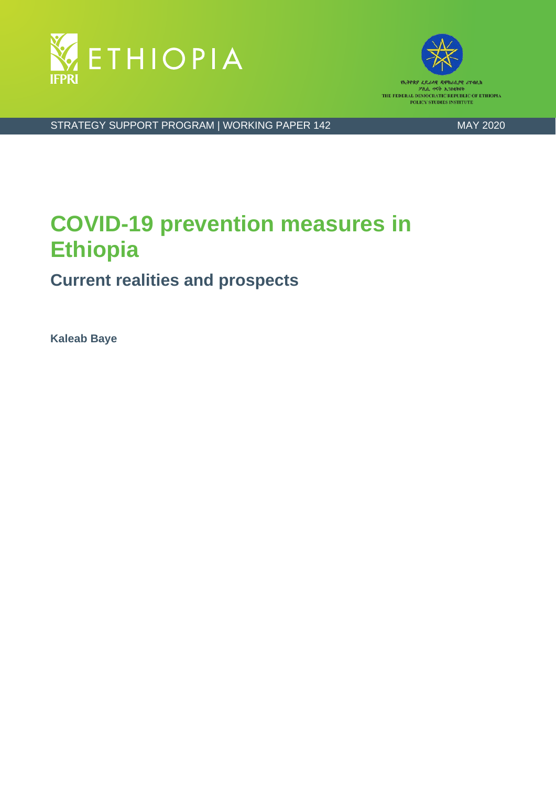



የኢትዮጵያ ፈ) አሲያዊ ሪፐ፡ብሊክ ፖሊሲ <mark>ተናት ኢንስ</mark>ቂትዩት THE FEDERAL DEMOCRATIC REPUBLIC OF ETHIOPIA POLICY STUDIES INSTITUTE

STRATEGY SUPPORT PROGRAM | WORKING PAPER 142 MAY 2020

# **COVID-19 prevention measures in Ethiopia**

# **Current realities and prospects**

**Kaleab Baye**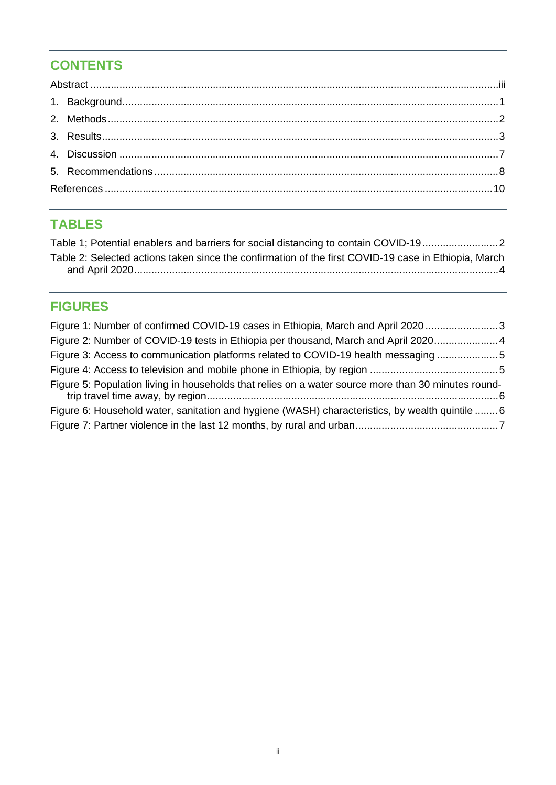# **CONTENTS**

# **TABLES**

| Table 1; Potential enablers and barriers for social distancing to contain COVID-19                   |  |
|------------------------------------------------------------------------------------------------------|--|
| Table 2: Selected actions taken since the confirmation of the first COVID-19 case in Ethiopia, March |  |
|                                                                                                      |  |

# **FIGURES**

| Figure 1: Number of confirmed COVID-19 cases in Ethiopia, March and April 2020 3                    |  |
|-----------------------------------------------------------------------------------------------------|--|
| Figure 2: Number of COVID-19 tests in Ethiopia per thousand, March and April 2020 4                 |  |
| Figure 3: Access to communication platforms related to COVID-19 health messaging 5                  |  |
|                                                                                                     |  |
| Figure 5: Population living in households that relies on a water source more than 30 minutes round- |  |
| Figure 6: Household water, sanitation and hygiene (WASH) characteristics, by wealth quintile  6     |  |
|                                                                                                     |  |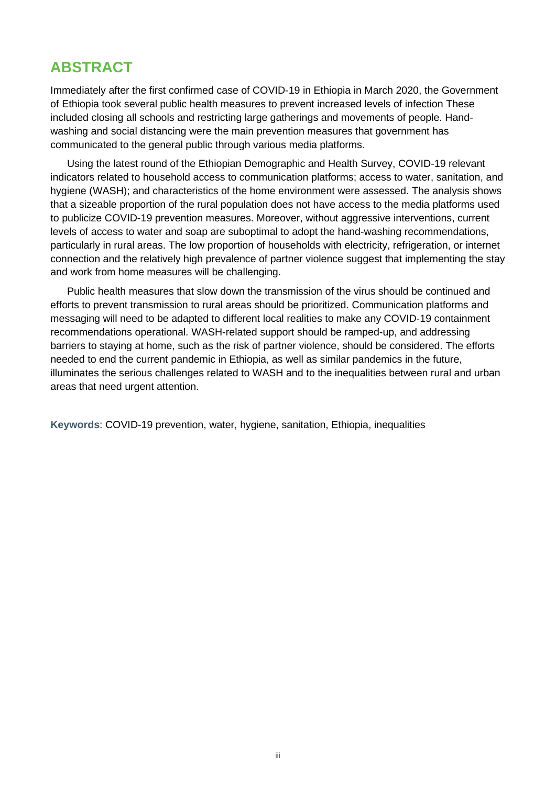# <span id="page-2-0"></span>**ABSTRACT**

Immediately after the first confirmed case of COVID-19 in Ethiopia in March 2020, the Government of Ethiopia took several public health measures to prevent increased levels of infection These included closing all schools and restricting large gatherings and movements of people. Handwashing and social distancing were the main prevention measures that government has communicated to the general public through various media platforms.

Using the latest round of the Ethiopian Demographic and Health Survey, COVID-19 relevant indicators related to household access to communication platforms; access to water, sanitation, and hygiene (WASH); and characteristics of the home environment were assessed. The analysis shows that a sizeable proportion of the rural population does not have access to the media platforms used to publicize COVID-19 prevention measures. Moreover, without aggressive interventions, current levels of access to water and soap are suboptimal to adopt the hand-washing recommendations, particularly in rural areas. The low proportion of households with electricity, refrigeration, or internet connection and the relatively high prevalence of partner violence suggest that implementing the stay and work from home measures will be challenging.

Public health measures that slow down the transmission of the virus should be continued and efforts to prevent transmission to rural areas should be prioritized. Communication platforms and messaging will need to be adapted to different local realities to make any COVID-19 containment recommendations operational. WASH-related support should be ramped-up, and addressing barriers to staying at home, such as the risk of partner violence, should be considered. The efforts needed to end the current pandemic in Ethiopia, as well as similar pandemics in the future, illuminates the serious challenges related to WASH and to the inequalities between rural and urban areas that need urgent attention.

**Keywords**: COVID-19 prevention, water, hygiene, sanitation, Ethiopia, inequalities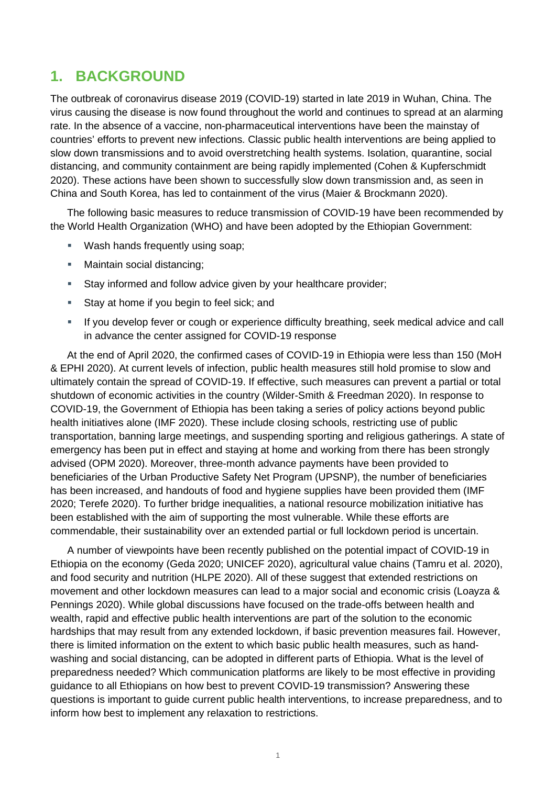# <span id="page-3-0"></span>**1. BACKGROUND**

The outbreak of coronavirus disease 2019 (COVID-19) started in late 2019 in Wuhan, China. The virus causing the disease is now found throughout the world and continues to spread at an alarming rate. In the absence of a vaccine, non-pharmaceutical interventions have been the mainstay of countries' efforts to prevent new infections. Classic public health interventions are being applied to slow down transmissions and to avoid overstretching health systems. Isolation, quarantine, social distancing, and community containment are being rapidly implemented (Cohen & Kupferschmidt 2020). These actions have been shown to successfully slow down transmission and, as seen in China and South Korea, has led to containment of the virus (Maier & Brockmann 2020).

The following basic measures to reduce transmission of COVID-19 have been recommended by the World Health Organization (WHO) and have been adopted by the Ethiopian Government:

- Wash hands frequently using soap;
- **Maintain social distancing;**
- **Stay informed and follow advice given by your healthcare provider;**
- Stay at home if you begin to feel sick; and
- If you develop fever or cough or experience difficulty breathing, seek medical advice and call in advance the center assigned for COVID-19 response

At the end of April 2020, the confirmed cases of COVID-19 in Ethiopia were less than 150 (MoH & EPHI 2020). At current levels of infection, public health measures still hold promise to slow and ultimately contain the spread of COVID-19. If effective, such measures can prevent a partial or total shutdown of economic activities in the country (Wilder-Smith & Freedman 2020). In response to COVID-19, the Government of Ethiopia has been taking a series of policy actions beyond public health initiatives alone (IMF 2020). These include closing schools, restricting use of public transportation, banning large meetings, and suspending sporting and religious gatherings. A state of emergency has been put in effect and staying at home and working from there has been strongly advised (OPM 2020). Moreover, three-month advance payments have been provided to beneficiaries of the Urban Productive Safety Net Program (UPSNP), the number of beneficiaries has been increased, and handouts of food and hygiene supplies have been provided them (IMF 2020; Terefe 2020). To further bridge inequalities, a national resource mobilization initiative has been established with the aim of supporting the most vulnerable. While these efforts are commendable, their sustainability over an extended partial or full lockdown period is uncertain.

A number of viewpoints have been recently published on the potential impact of COVID-19 in Ethiopia on the economy (Geda 2020; UNICEF 2020), agricultural value chains (Tamru et al. 2020), and food security and nutrition (HLPE 2020). All of these suggest that extended restrictions on movement and other lockdown measures can lead to a major social and economic crisis (Loayza & Pennings 2020). While global discussions have focused on the trade-offs between health and wealth, rapid and effective public health interventions are part of the solution to the economic hardships that may result from any extended lockdown, if basic prevention measures fail. However, there is limited information on the extent to which basic public health measures, such as handwashing and social distancing, can be adopted in different parts of Ethiopia. What is the level of preparedness needed? Which communication platforms are likely to be most effective in providing guidance to all Ethiopians on how best to prevent COVID-19 transmission? Answering these questions is important to guide current public health interventions, to increase preparedness, and to inform how best to implement any relaxation to restrictions.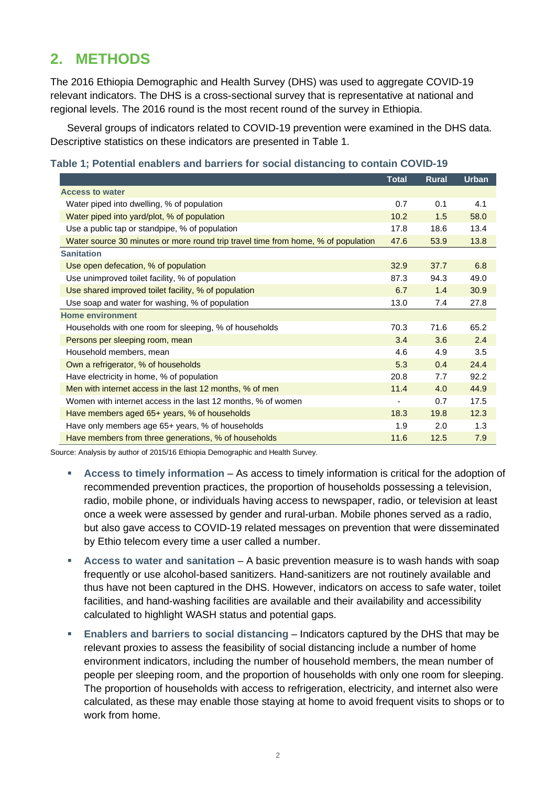# <span id="page-4-0"></span>**2. METHODS**

The 2016 Ethiopia Demographic and Health Survey (DHS) was used to aggregate COVID-19 relevant indicators. The DHS is a cross-sectional survey that is representative at national and regional levels. The 2016 round is the most recent round of the survey in Ethiopia.

Several groups of indicators related to COVID-19 prevention were examined in the DHS data. Descriptive statistics on these indicators are presented in Table 1.

<span id="page-4-1"></span>

|                                                                                   | <b>Total</b>             | <b>Rural</b> | <b>Urban</b> |
|-----------------------------------------------------------------------------------|--------------------------|--------------|--------------|
| <b>Access to water</b>                                                            |                          |              |              |
| Water piped into dwelling, % of population                                        |                          | 0.1          | 4.1          |
| Water piped into yard/plot, % of population                                       | 10.2                     | 1.5          | 58.0         |
| Use a public tap or standpipe, % of population                                    |                          | 18.6         | 13.4         |
| Water source 30 minutes or more round trip travel time from home, % of population | 47.6                     | 53.9         | 13.8         |
| <b>Sanitation</b>                                                                 |                          |              |              |
| Use open defecation, % of population                                              | 32.9                     | 37.7         | 6.8          |
| Use unimproved toilet facility, % of population                                   | 87.3                     | 94.3         | 49.0         |
| Use shared improved toilet facility, % of population                              | 6.7                      | 1.4          | 30.9         |
| Use soap and water for washing, % of population                                   | 13.0                     | 7.4          | 27.8         |
| <b>Home environment</b>                                                           |                          |              |              |
| Households with one room for sleeping, % of households<br>70.3                    |                          | 71.6         | 65.2         |
| Persons per sleeping room, mean<br>3.4                                            |                          | 3.6          | 2.4          |
| Household members, mean                                                           |                          | 4.9          | 3.5          |
| 5.3<br>Own a refrigerator, % of households                                        |                          | 0.4          | 24.4         |
| Have electricity in home, % of population                                         | 20.8                     | 7.7          | 92.2         |
| Men with internet access in the last 12 months, % of men                          | 11.4                     | 4.0          | 44.9         |
| Women with internet access in the last 12 months, % of women                      | $\overline{\phantom{0}}$ | 0.7          | 17.5         |
| Have members aged 65+ years, % of households                                      | 18.3                     | 19.8         | 12.3         |
| 1.9<br>Have only members age 65+ years, % of households                           |                          | 2.0          | 1.3          |
| Have members from three generations, % of households                              |                          | 12.5         | 7.9          |

Source: Analysis by author of 2015/16 Ethiopia Demographic and Health Survey.

- **Access to timely information** As access to timely information is critical for the adoption of recommended prevention practices, the proportion of households possessing a television, radio, mobile phone, or individuals having access to newspaper, radio, or television at least once a week were assessed by gender and rural-urban. Mobile phones served as a radio, but also gave access to COVID-19 related messages on prevention that were disseminated by Ethio telecom every time a user called a number.
- **Access to water and sanitation** A basic prevention measure is to wash hands with soap frequently or use alcohol-based sanitizers. Hand-sanitizers are not routinely available and thus have not been captured in the DHS. However, indicators on access to safe water, toilet facilities, and hand-washing facilities are available and their availability and accessibility calculated to highlight WASH status and potential gaps.
- **Enablers and barriers to social distancing** Indicators captured by the DHS that may be relevant proxies to assess the feasibility of social distancing include a number of home environment indicators, including the number of household members, the mean number of people per sleeping room, and the proportion of households with only one room for sleeping. The proportion of households with access to refrigeration, electricity, and internet also were calculated, as these may enable those staying at home to avoid frequent visits to shops or to work from home.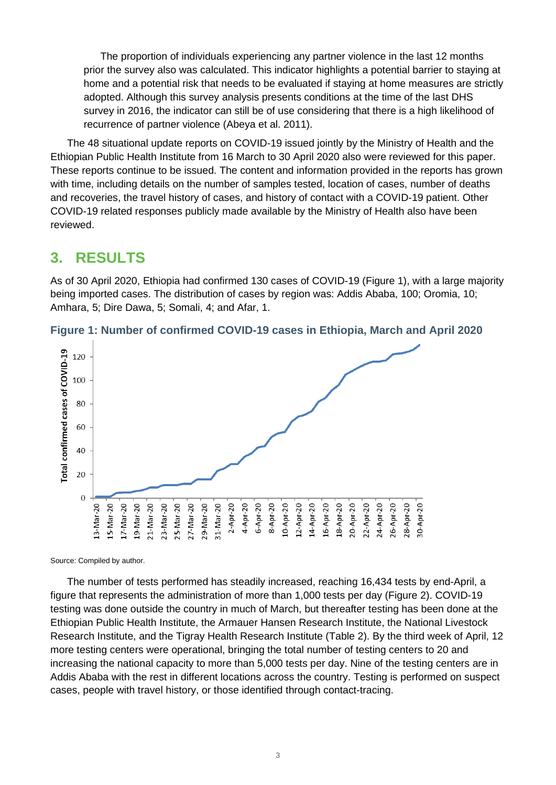The proportion of individuals experiencing any partner violence in the last 12 months prior the survey also was calculated. This indicator highlights a potential barrier to staying at home and a potential risk that needs to be evaluated if staying at home measures are strictly adopted. Although this survey analysis presents conditions at the time of the last DHS survey in 2016, the indicator can still be of use considering that there is a high likelihood of recurrence of partner violence (Abeya et al. 2011).

The 48 situational update reports on COVID-19 issued jointly by the Ministry of Health and the Ethiopian Public Health Institute from 16 March to 30 April 2020 also were reviewed for this paper. These reports continue to be issued. The content and information provided in the reports has grown with time, including details on the number of samples tested, location of cases, number of deaths and recoveries, the travel history of cases, and history of contact with a COVID-19 patient. Other COVID-19 related responses publicly made available by the Ministry of Health also have been reviewed.

## <span id="page-5-0"></span>**3. RESULTS**

As of 30 April 2020, Ethiopia had confirmed 130 cases of COVID-19 (Figure 1), with a large majority being imported cases. The distribution of cases by region was: Addis Ababa, 100; Oromia, 10; Amhara, 5; Dire Dawa, 5; Somali, 4; and Afar, 1.



<span id="page-5-1"></span>**Figure 1: Number of confirmed COVID-19 cases in Ethiopia, March and April 2020**

Source: Compiled by author.

The number of tests performed has steadily increased, reaching 16,434 tests by end-April, a figure that represents the administration of more than 1,000 tests per day (Figure 2). COVID-19 testing was done outside the country in much of March, but thereafter testing has been done at the Ethiopian Public Health Institute, the Armauer Hansen Research Institute, the National Livestock Research Institute, and the Tigray Health Research Institute (Table 2). By the third week of April, 12 more testing centers were operational, bringing the total number of testing centers to 20 and increasing the national capacity to more than 5,000 tests per day. Nine of the testing centers are in Addis Ababa with the rest in different locations across the country. Testing is performed on suspect cases, people with travel history, or those identified through contact-tracing.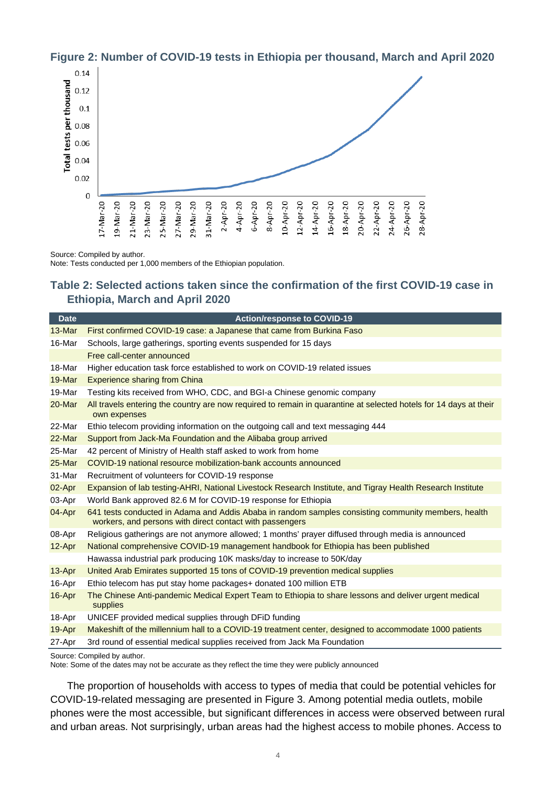

#### <span id="page-6-1"></span>**Figure 2: Number of COVID-19 tests in Ethiopia per thousand, March and April 2020**

Source: Compiled by author.

Note: Tests conducted per 1,000 members of the Ethiopian population.

#### <span id="page-6-0"></span>**Table 2: Selected actions taken since the confirmation of the first COVID-19 case in Ethiopia, March and April 2020**

| <b>Date</b> | <b>Action/response to COVID-19</b>                                                                                                                              |
|-------------|-----------------------------------------------------------------------------------------------------------------------------------------------------------------|
| $13-Mar$    | First confirmed COVID-19 case: a Japanese that came from Burkina Faso                                                                                           |
| 16-Mar      | Schools, large gatherings, sporting events suspended for 15 days                                                                                                |
|             | Free call-center announced                                                                                                                                      |
| 18-Mar      | Higher education task force established to work on COVID-19 related issues                                                                                      |
| 19-Mar      | <b>Experience sharing from China</b>                                                                                                                            |
| 19-Mar      | Testing kits received from WHO, CDC, and BGI-a Chinese genomic company                                                                                          |
| 20-Mar      | All travels entering the country are now required to remain in quarantine at selected hotels for 14 days at their<br>own expenses                               |
| 22-Mar      | Ethio telecom providing information on the outgoing call and text messaging 444                                                                                 |
| 22-Mar      | Support from Jack-Ma Foundation and the Alibaba group arrived                                                                                                   |
| 25-Mar      | 42 percent of Ministry of Health staff asked to work from home                                                                                                  |
| 25-Mar      | COVID-19 national resource mobilization-bank accounts announced                                                                                                 |
| 31-Mar      | Recruitment of volunteers for COVID-19 response                                                                                                                 |
| 02-Apr      | Expansion of lab testing-AHRI, National Livestock Research Institute, and Tigray Health Research Institute                                                      |
| 03-Apr      | World Bank approved 82.6 M for COVID-19 response for Ethiopia                                                                                                   |
| 04-Apr      | 641 tests conducted in Adama and Addis Ababa in random samples consisting community members, health<br>workers, and persons with direct contact with passengers |
| 08-Apr      | Religious gatherings are not anymore allowed; 1 months' prayer diffused through media is announced                                                              |
| 12-Apr      | National comprehensive COVID-19 management handbook for Ethiopia has been published                                                                             |
|             | Hawassa industrial park producing 10K masks/day to increase to 50K/day                                                                                          |
| 13-Apr      | United Arab Emirates supported 15 tons of COVID-19 prevention medical supplies                                                                                  |
| 16-Apr      | Ethio telecom has put stay home packages + donated 100 million ETB                                                                                              |
| 16-Apr      | The Chinese Anti-pandemic Medical Expert Team to Ethiopia to share lessons and deliver urgent medical<br>supplies                                               |
| 18-Apr      | UNICEF provided medical supplies through DFiD funding                                                                                                           |
| 19-Apr      | Makeshift of the millennium hall to a COVID-19 treatment center, designed to accommodate 1000 patients                                                          |
| 27-Apr      | 3rd round of essential medical supplies received from Jack Ma Foundation                                                                                        |
|             | Source: Compiled by author.                                                                                                                                     |

Note: Some of the dates may not be accurate as they reflect the time they were publicly announced

The proportion of households with access to types of media that could be potential vehicles for COVID-19-related messaging are presented in Figure 3. Among potential media outlets, mobile phones were the most accessible, but significant differences in access were observed between rural and urban areas. Not surprisingly, urban areas had the highest access to mobile phones. Access to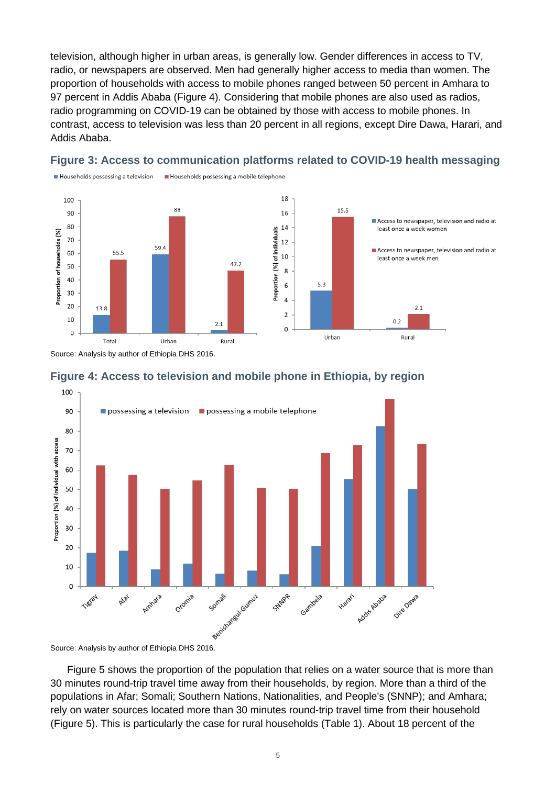television, although higher in urban areas, is generally low. Gender differences in access to TV, radio, or newspapers are observed. Men had generally higher access to media than women. The proportion of households with access to mobile phones ranged between 50 percent in Amhara to 97 percent in Addis Ababa (Figure 4). Considering that mobile phones are also used as radios, radio programming on COVID-19 can be obtained by those with access to mobile phones. In contrast, access to television was less than 20 percent in all regions, except Dire Dawa, Harari, and Addis Ababa.



#### <span id="page-7-0"></span>**Figure 3: Access to communication platforms related to COVID-19 health messaging**

Households possessing a mobile telephone

Source: Analysis by author of Ethiopia DHS 2016.

Households possessing a television

<span id="page-7-1"></span>



Figure 5 shows the proportion of the population that relies on a water source that is more than 30 minutes round-trip travel time away from their households, by region. More than a third of the populations in Afar; Somali; Southern Nations, Nationalities, and People's (SNNP); and Amhara; rely on water sources located more than 30 minutes round-trip travel time from their household (Figure 5). This is particularly the case for rural households (Table 1). About 18 percent of the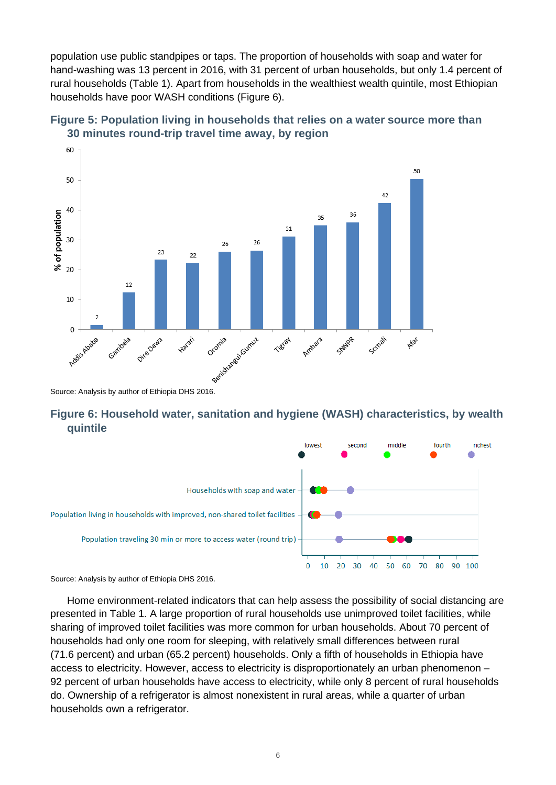population use public standpipes or taps. The proportion of households with soap and water for hand-washing was 13 percent in 2016, with 31 percent of urban households, but only 1.4 percent of rural households (Table 1). Apart from households in the wealthiest wealth quintile, most Ethiopian households have poor WASH conditions (Figure 6).



<span id="page-8-0"></span>**Figure 5: Population living in households that relies on a water source more than 30 minutes round-trip travel time away, by region**

#### <span id="page-8-1"></span>**Figure 6: Household water, sanitation and hygiene (WASH) characteristics, by wealth quintile**



Source: Analysis by author of Ethiopia DHS 2016.

Home environment-related indicators that can help assess the possibility of social distancing are presented in Table 1. A large proportion of rural households use unimproved toilet facilities, while sharing of improved toilet facilities was more common for urban households. About 70 percent of households had only one room for sleeping, with relatively small differences between rural (71.6 percent) and urban (65.2 percent) households. Only a fifth of households in Ethiopia have access to electricity. However, access to electricity is disproportionately an urban phenomenon – 92 percent of urban households have access to electricity, while only 8 percent of rural households do. Ownership of a refrigerator is almost nonexistent in rural areas, while a quarter of urban households own a refrigerator.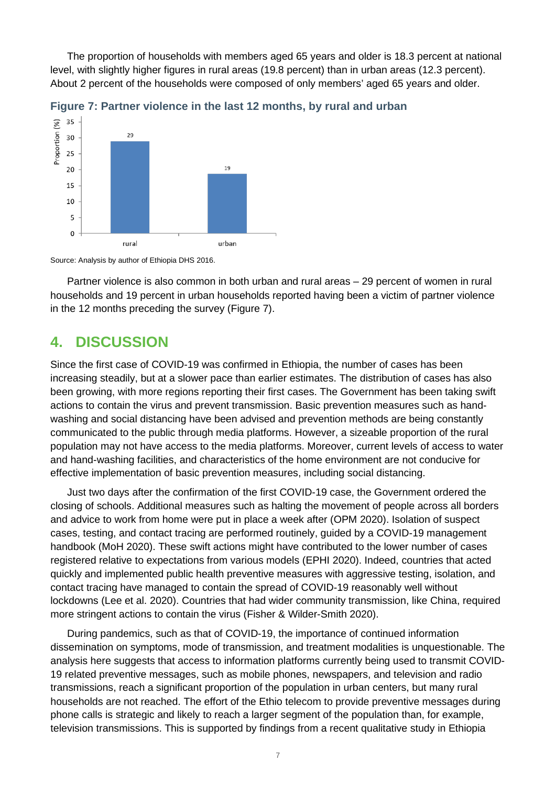The proportion of households with members aged 65 years and older is 18.3 percent at national level, with slightly higher figures in rural areas (19.8 percent) than in urban areas (12.3 percent). About 2 percent of the households were composed of only members' aged 65 years and older.



<span id="page-9-1"></span>**Figure 7: Partner violence in the last 12 months, by rural and urban**

Source: Analysis by author of Ethiopia DHS 2016.

Partner violence is also common in both urban and rural areas – 29 percent of women in rural households and 19 percent in urban households reported having been a victim of partner violence in the 12 months preceding the survey (Figure 7).

### <span id="page-9-0"></span>**4. DISCUSSION**

Since the first case of COVID-19 was confirmed in Ethiopia, the number of cases has been increasing steadily, but at a slower pace than earlier estimates. The distribution of cases has also been growing, with more regions reporting their first cases. The Government has been taking swift actions to contain the virus and prevent transmission. Basic prevention measures such as handwashing and social distancing have been advised and prevention methods are being constantly communicated to the public through media platforms. However, a sizeable proportion of the rural population may not have access to the media platforms. Moreover, current levels of access to water and hand-washing facilities, and characteristics of the home environment are not conducive for effective implementation of basic prevention measures, including social distancing.

Just two days after the confirmation of the first COVID-19 case, the Government ordered the closing of schools. Additional measures such as halting the movement of people across all borders and advice to work from home were put in place a week after (OPM 2020). Isolation of suspect cases, testing, and contact tracing are performed routinely, guided by a COVID-19 management handbook (MoH 2020). These swift actions might have contributed to the lower number of cases registered relative to expectations from various models (EPHI 2020). Indeed, countries that acted quickly and implemented public health preventive measures with aggressive testing, isolation, and contact tracing have managed to contain the spread of COVID-19 reasonably well without lockdowns (Lee et al. 2020). Countries that had wider community transmission, like China, required more stringent actions to contain the virus (Fisher & Wilder-Smith 2020).

During pandemics, such as that of COVID-19, the importance of continued information dissemination on symptoms, mode of transmission, and treatment modalities is unquestionable. The analysis here suggests that access to information platforms currently being used to transmit COVID-19 related preventive messages, such as mobile phones, newspapers, and television and radio transmissions, reach a significant proportion of the population in urban centers, but many rural households are not reached. The effort of the Ethio telecom to provide preventive messages during phone calls is strategic and likely to reach a larger segment of the population than, for example, television transmissions. This is supported by findings from a recent qualitative study in Ethiopia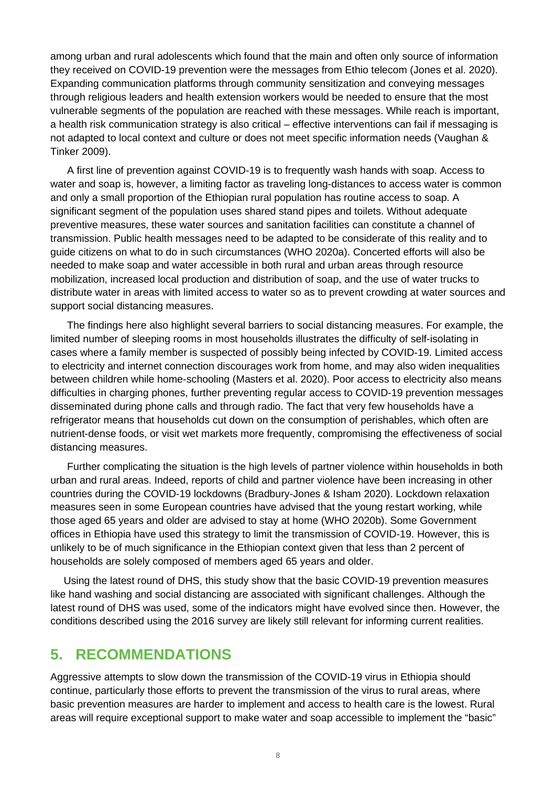among urban and rural adolescents which found that the main and often only source of information they received on COVID-19 prevention were the messages from Ethio telecom (Jones et al. 2020). Expanding communication platforms through community sensitization and conveying messages through religious leaders and health extension workers would be needed to ensure that the most vulnerable segments of the population are reached with these messages. While reach is important, a health risk communication strategy is also critical – effective interventions can fail if messaging is not adapted to local context and culture or does not meet specific information needs (Vaughan & Tinker 2009).

A first line of prevention against COVID-19 is to frequently wash hands with soap. Access to water and soap is, however, a limiting factor as traveling long-distances to access water is common and only a small proportion of the Ethiopian rural population has routine access to soap. A significant segment of the population uses shared stand pipes and toilets. Without adequate preventive measures, these water sources and sanitation facilities can constitute a channel of transmission. Public health messages need to be adapted to be considerate of this reality and to guide citizens on what to do in such circumstances (WHO 2020a). Concerted efforts will also be needed to make soap and water accessible in both rural and urban areas through resource mobilization, increased local production and distribution of soap, and the use of water trucks to distribute water in areas with limited access to water so as to prevent crowding at water sources and support social distancing measures.

The findings here also highlight several barriers to social distancing measures. For example, the limited number of sleeping rooms in most households illustrates the difficulty of self-isolating in cases where a family member is suspected of possibly being infected by COVID-19. Limited access to electricity and internet connection discourages work from home, and may also widen inequalities between children while home-schooling (Masters et al. 2020). Poor access to electricity also means difficulties in charging phones, further preventing regular access to COVID-19 prevention messages disseminated during phone calls and through radio. The fact that very few households have a refrigerator means that households cut down on the consumption of perishables, which often are nutrient-dense foods, or visit wet markets more frequently, compromising the effectiveness of social distancing measures.

Further complicating the situation is the high levels of partner violence within households in both urban and rural areas. Indeed, reports of child and partner violence have been increasing in other countries during the COVID-19 lockdowns (Bradbury-Jones & Isham 2020). Lockdown relaxation measures seen in some European countries have advised that the young restart working, while those aged 65 years and older are advised to stay at home (WHO 2020b). Some Government offices in Ethiopia have used this strategy to limit the transmission of COVID-19. However, this is unlikely to be of much significance in the Ethiopian context given that less than 2 percent of households are solely composed of members aged 65 years and older.

Using the latest round of DHS, this study show that the basic COVID-19 prevention measures like hand washing and social distancing are associated with significant challenges. Although the latest round of DHS was used, some of the indicators might have evolved since then. However, the conditions described using the 2016 survey are likely still relevant for informing current realities.

### <span id="page-10-0"></span>**5. RECOMMENDATIONS**

Aggressive attempts to slow down the transmission of the COVID-19 virus in Ethiopia should continue, particularly those efforts to prevent the transmission of the virus to rural areas, where basic prevention measures are harder to implement and access to health care is the lowest. Rural areas will require exceptional support to make water and soap accessible to implement the "basic"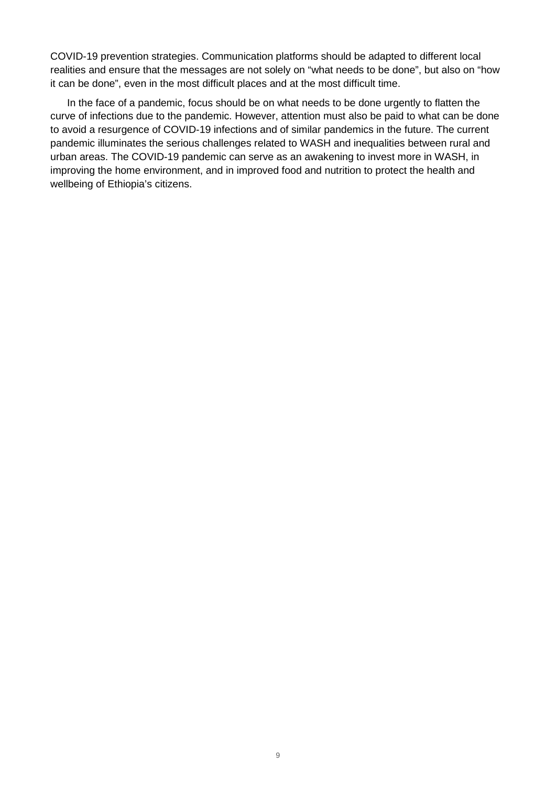COVID-19 prevention strategies. Communication platforms should be adapted to different local realities and ensure that the messages are not solely on "what needs to be done", but also on "how it can be done", even in the most difficult places and at the most difficult time.

In the face of a pandemic, focus should be on what needs to be done urgently to flatten the curve of infections due to the pandemic. However, attention must also be paid to what can be done to avoid a resurgence of COVID-19 infections and of similar pandemics in the future. The current pandemic illuminates the serious challenges related to WASH and inequalities between rural and urban areas. The COVID-19 pandemic can serve as an awakening to invest more in WASH, in improving the home environment, and in improved food and nutrition to protect the health and wellbeing of Ethiopia's citizens.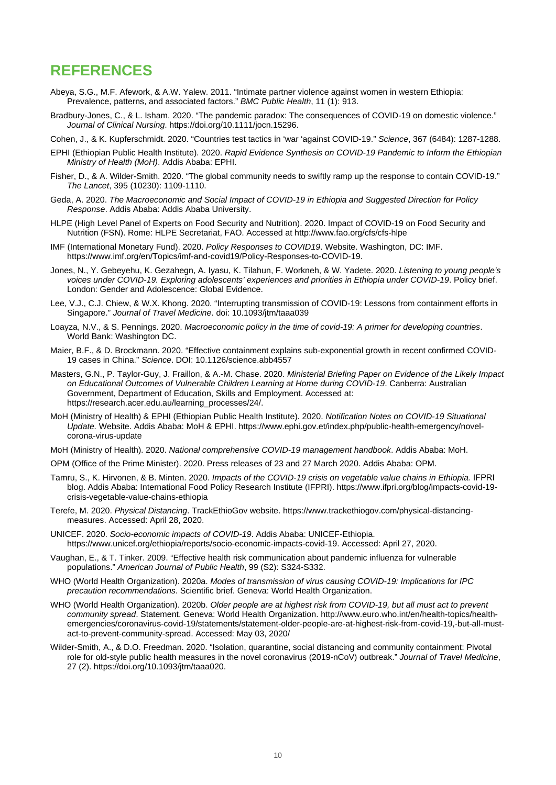### <span id="page-12-0"></span>**REFERENCES**

- Abeya, S.G., M.F. Afework, & A.W. Yalew. 2011. "Intimate partner violence against women in western Ethiopia: Prevalence, patterns, and associated factors." *BMC Public Health*, 11 (1): 913.
- Bradbury-Jones, C., & L. Isham. 2020. "The pandemic paradox: The consequences of COVID-19 on domestic violence." *Journal of Clinical Nursing*. https://doi.org/10.1111/jocn.15296.
- Cohen, J., & K. Kupferschmidt. 2020. "Countries test tactics in 'war 'against COVID-19." *Science*, 367 (6484): 1287-1288.
- EPHI (Ethiopian Public Health Institute). 2020. *Rapid Evidence Synthesis on COVID-19 Pandemic to Inform the Ethiopian Ministry of Health (MoH)*. Addis Ababa: EPHI.
- Fisher, D., & A. Wilder-Smith. 2020. "The global community needs to swiftly ramp up the response to contain COVID-19." *The Lancet*, 395 (10230): 1109-1110.
- Geda, A. 2020. *The Macroeconomic and Social Impact of COVID-19 in Ethiopia and Suggested Direction for Policy Response*. Addis Ababa: Addis Ababa University.
- HLPE (High Level Panel of Experts on Food Security and Nutrition). 2020. Impact of COVID-19 on Food Security and Nutrition (FSN). Rome: HLPE Secretariat, FAO. Accessed at http://www.fao.org/cfs/cfs-hlpe
- IMF (International Monetary Fund). 2020. *Policy Responses to COVID19*. Website. Washington, DC: IMF. https://www.imf.org/en/Topics/imf-and-covid19/Policy-Responses-to-COVID-19.
- Jones, N., Y. Gebeyehu, K. Gezahegn, A. Iyasu, K. Tilahun, F. Workneh, & W. Yadete. 2020. *Listening to young people's voices under COVID-19. Exploring adolescents' experiences and priorities in Ethiopia under COVID-19*. Policy brief. London: Gender and Adolescence: Global Evidence.
- Lee, V.J., C.J. Chiew, & W.X. Khong. 2020. "Interrupting transmission of COVID-19: Lessons from containment efforts in Singapore." *Journal of Travel Medicine*. doi: 10.1093/jtm/taaa039
- Loayza, N.V., & S. Pennings. 2020. *Macroeconomic policy in the time of covid-19: A primer for developing countries*. World Bank: Washington DC.
- Maier, B.F., & D. Brockmann. 2020. "Effective containment explains sub-exponential growth in recent confirmed COVID-19 cases in China." *Science*. DOI: 10.1126/science.abb4557
- Masters, G.N., P. Taylor-Guy, J. Fraillon, & A.-M. Chase. 2020. *Ministerial Briefing Paper on Evidence of the Likely Impact on Educational Outcomes of Vulnerable Children Learning at Home during COVID-19*. Canberra: Australian Government, Department of Education, Skills and Employment. Accessed at: https://research.acer.edu.au/learning\_processes/24/.
- MoH (Ministry of Health) & EPHI (Ethiopian Public Health Institute). 2020. *Notification Notes on COVID-19 Situational Update.* Website. Addis Ababa: MoH & EPHI. https://www.ephi.gov.et/index.php/public-health-emergency/novelcorona-virus-update
- MoH (Ministry of Health). 2020. *National comprehensive COVID-19 management handbook*. Addis Ababa: MoH.
- OPM (Office of the Prime Minister). 2020. Press releases of 23 and 27 March 2020. Addis Ababa: OPM.
- Tamru, S., K. Hirvonen, & B. Minten. 2020. *Impacts of the COVID-19 crisis on vegetable value chains in Ethiopia.* IFPRI  blog. Addis Ababa: International Food Policy Research Institute (IFPRI). https://www.ifpri.org/blog/impacts-covid-19 crisis-vegetable-value-chains-ethiopia
- Terefe, M. 2020. *Physical Distancing*. TrackEthioGov website. [https://www.trackethiogov.com/physical-distancing](https://www.trackethiogov.com/physical-distancing-measures)[measures.](https://www.trackethiogov.com/physical-distancing-measures) Accessed: April 28, 2020.
- UNICEF. 2020. *Socio-economic impacts of COVID-19*. Addis Ababa: UNICEF-Ethiopia. [https://www.unicef.org/ethiopia/reports/socio-economic-impacts-covid-19.](https://www.unicef.org/ethiopia/reports/socio-economic-impacts-covid-19) Accessed: April 27, 2020.
- Vaughan, E., & T. Tinker. 2009. "Effective health risk communication about pandemic influenza for vulnerable populations." *American Journal of Public Health*, 99 (S2): S324-S332.
- WHO (World Health Organization). 2020a. *Modes of transmission of virus causing COVID-19: Implications for IPC precaution recommendations*. Scientific brief. Geneva: World Health Organization.
- WHO (World Health Organization). 2020b. *Older people are at highest risk from COVID-19, but all must act to prevent community spread*. Statement. Geneva: World Health Organization. http://www.euro.who.int/en/health-topics/healthemergencies/coronavirus-covid-19/statements/statement-older-people-are-at-highest-risk-from-covid-19,-but-all-mustact-to-prevent-community-spread. Accessed: May 03, 2020/
- Wilder-Smith, A., & D.O. Freedman. 2020. "Isolation, quarantine, social distancing and community containment: Pivotal role for old-style public health measures in the novel coronavirus (2019-nCoV) outbreak." *Journal of Travel Medicine*, 27 (2)[. https://doi.org/10.1093/jtm/taaa020.](https://doi.org/10.1093/jtm/taaa020)